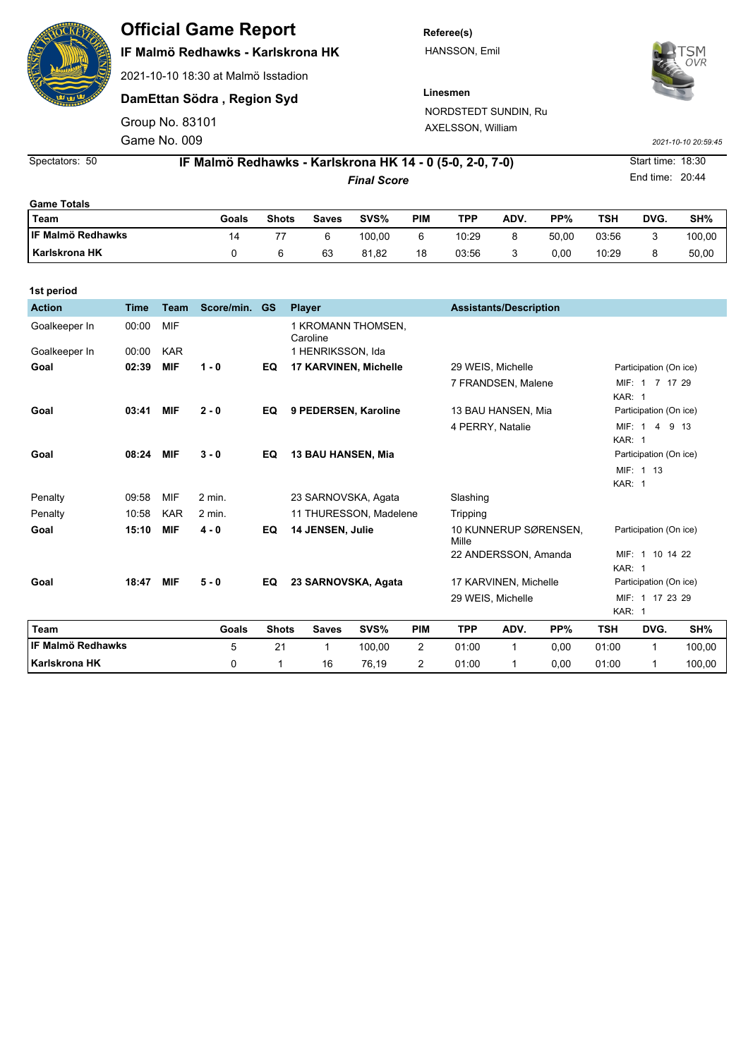

## **Official Game Report**

### **IF Malmö Redhawks - Karlskrona HK**

2021-10-10 18:30 at Malmö Isstadion

**DamEttan Södra , Region Syd**

Game No. 009 Group No. 83101 **Referee(s)** HANSSON, Emil



**Linesmen** NORDSTEDT SUNDIN, Ru AXELSSON, William

*2021-10-10 20:59:45*

End time: 20:44

*Final Score* **14 - 0 (5-0, 2-0, 7-0)** Start time: 18:30 Spectators: 50 **IF Malmö Redhawks - Karlskrona HK**

| <b>Game Totals</b>       |       |              |       |        |     |       |      |       |       |      |        |  |
|--------------------------|-------|--------------|-------|--------|-----|-------|------|-------|-------|------|--------|--|
| Team                     | Goals | <b>Shots</b> | Saves | SVS%   | PIM | TPP   | ADV. | PP%   | TSH   | DVG. | SH%    |  |
| <b>IF Malmö Redhawks</b> | 14    |              |       | 100.00 | 6   | 10:29 | 8    | 50.00 | 03:56 |      | 100,00 |  |
| <b>Karlskrona HK</b>     |       |              | 63    | 81.82  | 18  | 03:56 | J    | 0.00  | 10:29 |      | 50.00  |  |

| 1st period               |             |             |            |              |                                |                               |                                |                   |                       |                        |                                  |                        |        |  |
|--------------------------|-------------|-------------|------------|--------------|--------------------------------|-------------------------------|--------------------------------|-------------------|-----------------------|------------------------|----------------------------------|------------------------|--------|--|
| <b>Action</b>            | <b>Time</b> | <b>Team</b> | Score/min. | <b>GS</b>    | <b>Player</b>                  | <b>Assistants/Description</b> |                                |                   |                       |                        |                                  |                        |        |  |
| Goalkeeper In            | 00:00       | MIF         |            |              | 1 KROMANN THOMSEN,<br>Caroline |                               |                                |                   |                       |                        |                                  |                        |        |  |
| Goalkeeper In            | 00:00       | <b>KAR</b>  |            |              | 1 HENRIKSSON, Ida              |                               |                                |                   |                       |                        |                                  |                        |        |  |
| Goal                     | 02:39       | <b>MIF</b>  | $1 - 0$    | EQ           | 17 KARVINEN, Michelle          |                               |                                |                   | 29 WEIS, Michelle     |                        |                                  | Participation (On ice) |        |  |
|                          |             |             |            |              |                                |                               |                                |                   | 7 FRANDSEN, Malene    |                        | KAR: 1                           | MIF: 1 7 17 29         |        |  |
| Goal                     | 03:41       | <b>MIF</b>  | $2 - 0$    | EQ           | 9 PEDERSEN, Karoline           |                               |                                |                   | 13 BAU HANSEN, Mia    |                        |                                  | Participation (On ice) |        |  |
|                          |             |             |            |              |                                |                               |                                | 4 PERRY, Natalie  |                       |                        | MIF: 1 4 9 13<br>KAR: 1          |                        |        |  |
| Goal                     | 08:24       | <b>MIF</b>  | $3 - 0$    | EQ           | <b>13 BAU HANSEN, Mia</b>      |                               |                                |                   |                       |                        |                                  | Participation (On ice) |        |  |
|                          |             |             |            |              |                                |                               |                                |                   |                       |                        |                                  | MIF: 1 13              |        |  |
|                          |             |             |            |              |                                |                               |                                |                   |                       |                        | KAR: 1                           |                        |        |  |
| Penalty                  | 09:58       | MIF         | 2 min.     |              | 23 SARNOVSKA, Agata            |                               |                                | Slashing          |                       |                        |                                  |                        |        |  |
| Penalty                  | 10:58       | <b>KAR</b>  | $2$ min.   |              | 11 THURESSON, Madelene         |                               |                                | Tripping          |                       |                        |                                  |                        |        |  |
| Goal                     | 15:10       | <b>MIF</b>  | $4 - 0$    | EQ           | 14 JENSEN, Julie               |                               | 10 KUNNERUP SØRENSEN,<br>Mille |                   |                       | Participation (On ice) |                                  |                        |        |  |
|                          |             |             |            |              |                                |                               |                                |                   | 22 ANDERSSON, Amanda  |                        |                                  | MIF: 1 10 14 22        |        |  |
|                          |             |             |            |              |                                |                               |                                |                   |                       |                        | KAR: 1                           |                        |        |  |
| Goal                     | 18:47       | <b>MIF</b>  | $5 - 0$    | EQ           | 23 SARNOVSKA, Agata            |                               |                                |                   | 17 KARVINEN, Michelle |                        |                                  | Participation (On ice) |        |  |
|                          |             |             |            |              |                                |                               |                                | 29 WEIS, Michelle |                       |                        | MIF: 1 17 23 29<br><b>KAR: 1</b> |                        |        |  |
| Team                     |             |             | Goals      | <b>Shots</b> | <b>Saves</b>                   | SVS%                          | <b>PIM</b>                     | <b>TPP</b>        | ADV.                  | PP%                    | <b>TSH</b>                       | DVG.                   | SH%    |  |
| <b>IF Malmö Redhawks</b> |             |             | 5          | 21           | 1                              | 100,00                        | $\overline{2}$                 | 01:00             | $\mathbf{1}$          | 0,00                   | 01:00                            | 1                      | 100,00 |  |
| Karlskrona HK            |             |             | 0          | 1            | 16                             | 76,19                         | 2                              | 01:00             | 1                     | 0,00                   | 01:00                            | 1                      | 100,00 |  |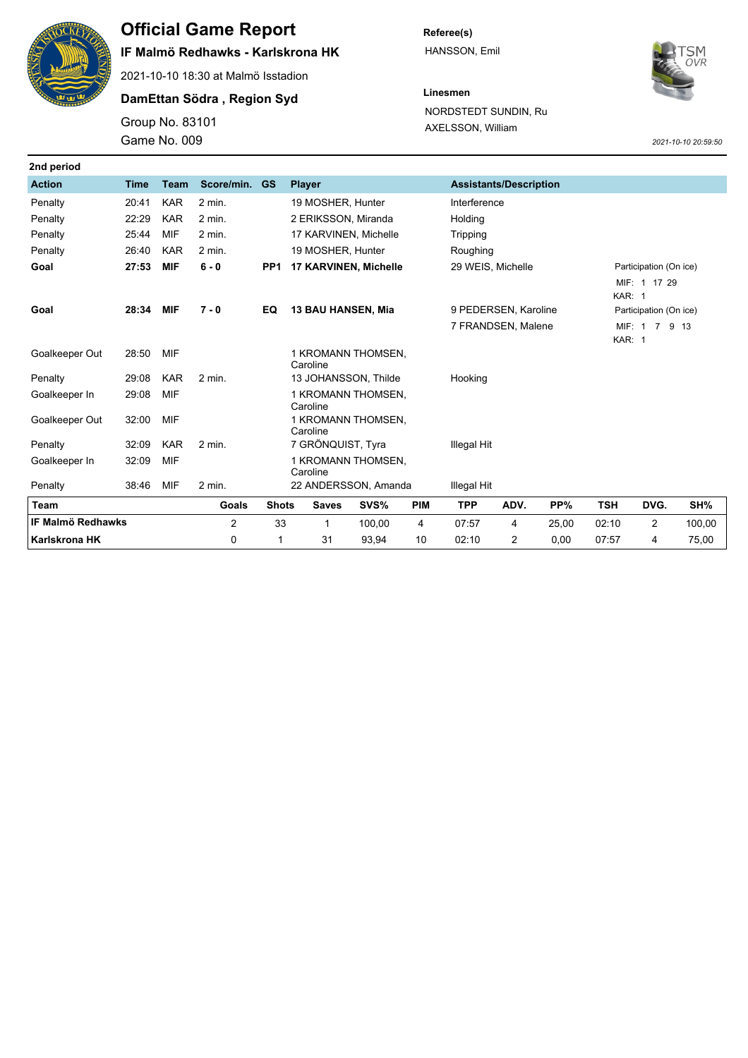

# **Official Game Report**

## **IF Malmö Redhawks - Karlskrona HK**

2021-10-10 18:30 at Malmö Isstadion

#### **DamEttan Södra , Region Syd**

Game No. 009 Group No. 83101 **Referee(s)** HANSSON, Emil



**Linesmen** NORDSTEDT SUNDIN, Ru AXELSSON, William

*2021-10-10 20:59:50*

| 2nd period               |                                        |             |                |                 |                                                |                                            |            |                 |                                         |        |                        |                |        |  |
|--------------------------|----------------------------------------|-------------|----------------|-----------------|------------------------------------------------|--------------------------------------------|------------|-----------------|-----------------------------------------|--------|------------------------|----------------|--------|--|
| <b>Action</b>            | <b>Time</b>                            | <b>Team</b> | Score/min.     | <b>GS</b>       | <b>Player</b><br><b>Assistants/Description</b> |                                            |            |                 |                                         |        |                        |                |        |  |
| Penalty                  | 20:41                                  | <b>KAR</b>  | 2 min.         |                 | 19 MOSHER, Hunter                              |                                            |            | Interference    |                                         |        |                        |                |        |  |
| Penalty                  | 22:29                                  | <b>KAR</b>  | 2 min.         |                 | 2 ERIKSSON, Miranda                            |                                            |            | Holding         |                                         |        |                        |                |        |  |
| Penalty                  | 25:44                                  | MIF         | 2 min.         |                 | 17 KARVINEN, Michelle                          |                                            |            | <b>Tripping</b> |                                         |        |                        |                |        |  |
| Penalty                  | 26:40                                  | <b>KAR</b>  | $2$ min.       |                 | 19 MOSHER, Hunter                              |                                            |            | Roughing        |                                         |        |                        |                |        |  |
| Goal                     | 27:53                                  | <b>MIF</b>  | $6 - 0$        | PP <sub>1</sub> | 17 KARVINEN, Michelle                          |                                            |            |                 | 29 WEIS, Michelle                       |        | Participation (On ice) |                |        |  |
|                          |                                        |             |                |                 |                                                |                                            |            |                 |                                         |        |                        | MIF: 1 17 29   |        |  |
|                          |                                        |             |                |                 |                                                |                                            |            |                 |                                         | KAR: 1 |                        |                |        |  |
|                          | Goal<br>28:34<br><b>MIF</b><br>$7 - 0$ |             |                | EQ              | <b>13 BAU HANSEN, Mia</b>                      | 9 PEDERSEN, Karoline<br>7 FRANDSEN, Malene |            |                 | Participation (On ice)<br>MIF: 1 7 9 13 |        |                        |                |        |  |
|                          |                                        |             |                |                 |                                                |                                            |            |                 |                                         |        | <b>KAR: 1</b>          |                |        |  |
| Goalkeeper Out           | 28:50                                  | MIF         |                |                 | 1 KROMANN THOMSEN,<br>Caroline                 |                                            |            |                 |                                         |        |                        |                |        |  |
| Penalty                  | 29:08                                  | <b>KAR</b>  | 2 min.         |                 | 13 JOHANSSON, Thilde                           | Hooking                                    |            |                 |                                         |        |                        |                |        |  |
| Goalkeeper In            | 29:08                                  | <b>MIF</b>  |                |                 | 1 KROMANN THOMSEN,<br>Caroline                 |                                            |            |                 |                                         |        |                        |                |        |  |
| Goalkeeper Out           | 32:00                                  | MIF         |                |                 | 1 KROMANN THOMSEN,<br>Caroline                 |                                            |            |                 |                                         |        |                        |                |        |  |
| Penalty                  | 32:09                                  | <b>KAR</b>  | $2$ min.       |                 | 7 GRÖNQUIST, Tyra                              |                                            |            | Illegal Hit     |                                         |        |                        |                |        |  |
| Goalkeeper In            | 32:09                                  | MIF         |                |                 | 1 KROMANN THOMSEN,<br>Caroline                 |                                            |            |                 |                                         |        |                        |                |        |  |
| Penalty                  | 38:46                                  | MIF         | 2 min.         |                 | 22 ANDERSSON, Amanda                           |                                            |            | Illegal Hit     |                                         |        |                        |                |        |  |
| Team                     |                                        |             | <b>Goals</b>   | <b>Shots</b>    | <b>Saves</b>                                   | SVS%                                       | <b>PIM</b> | <b>TPP</b>      | ADV.                                    | PP%    | <b>TSH</b>             | DVG.           | SH%    |  |
| <b>IF Malmö Redhawks</b> |                                        |             | $\overline{c}$ | 33              | 1                                              | 100,00                                     | 4          | 07:57           | 4                                       | 25,00  | 02:10                  | $\overline{c}$ | 100,00 |  |
| Karlskrona HK            |                                        |             | 0              | 1               | 31                                             | 93,94                                      | 10         | 02:10           | 2                                       | 0,00   | 07:57                  | 4              | 75,00  |  |